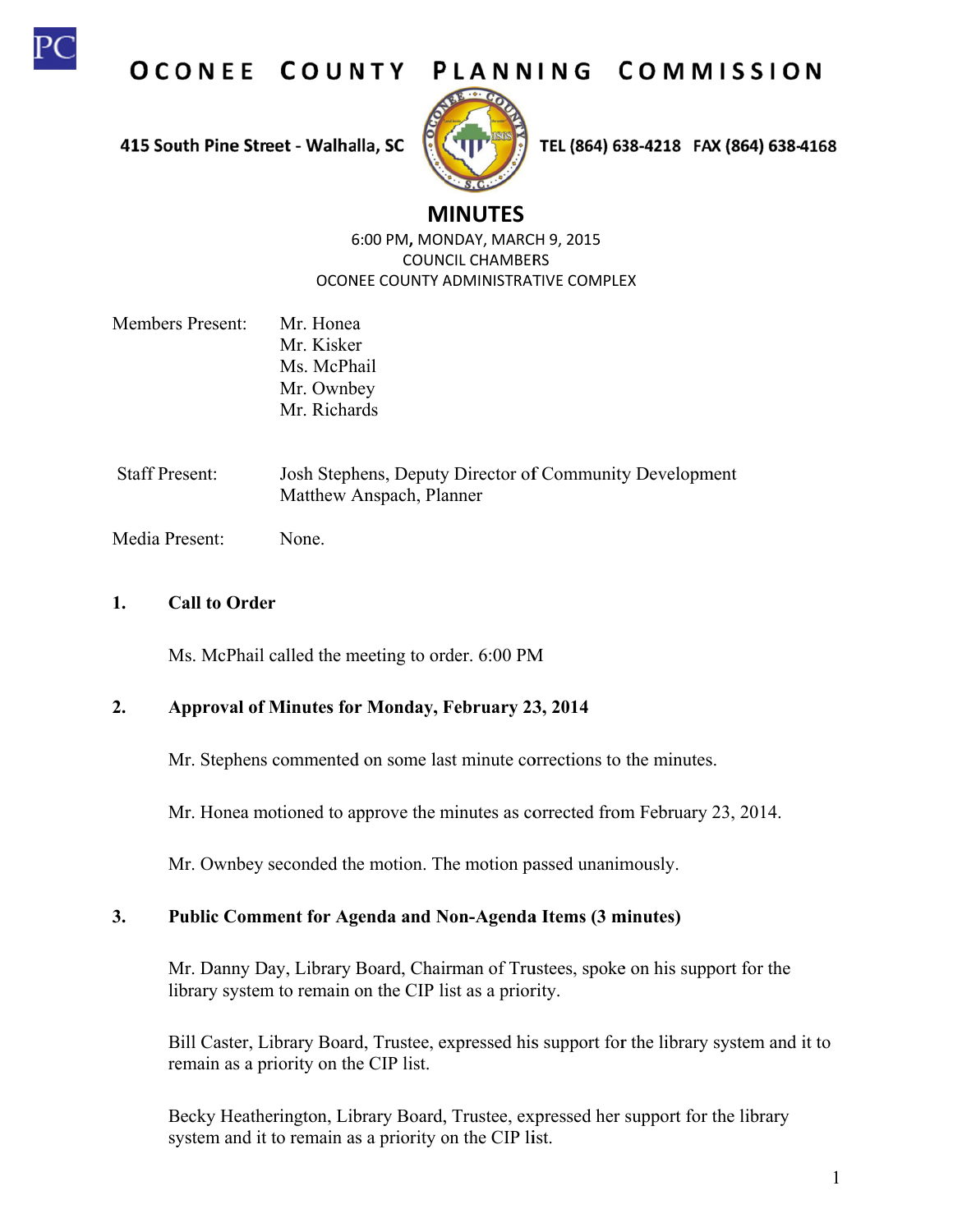

OCONEE COUNTY PLANNING COMMISSION

415 South Pine Street - Walhalla, SC



TEL (864) 638-4218 FAX (864) 638-4168

# **M MINUTES**

6:00 PM, MONDAY, MARCH 9, 2015 OCONEE COUNTY ADMINISTRATIVE COMPLEX COUN CIL CHAMBER RS

- Members Present: Mr. Honea Mr. Kisker Ms. McPhail Mr. Ownbey Mr. Richards
- Staff Present: Josh Stephens, Deputy Director of Community Development Matthew Anspach, Planner

Media Present: None.

#### **1. C Call to Order**

Ms. McPhail called the meeting to order. 6:00 PM

#### $2.$ **Approval of Minutes for r Monday, F February 23 3, 2014**

Mr. Stephens commented on some last minute corrections to the minutes.

Mr. Honea motioned to approve the minutes as corrected from February 23, 2014.

Mr. Ownbey seconded the motion. The motion passed unanimously.

#### $3.$ Public Comment for Agenda and Non-Agenda Items (3 minutes)

Mr. Danny Day, Library Board, Chairman of Trustees, spoke on his support for the library system to remain on the CIP list as a priority.

Bill Caster, Library Board, Trustee, expressed his support for the library system and it to remain as a priority on the CIP list.

Becky Heatherington, Library Board, Trustee, expressed her support for the library system and it to remain as a priority on the CIP list.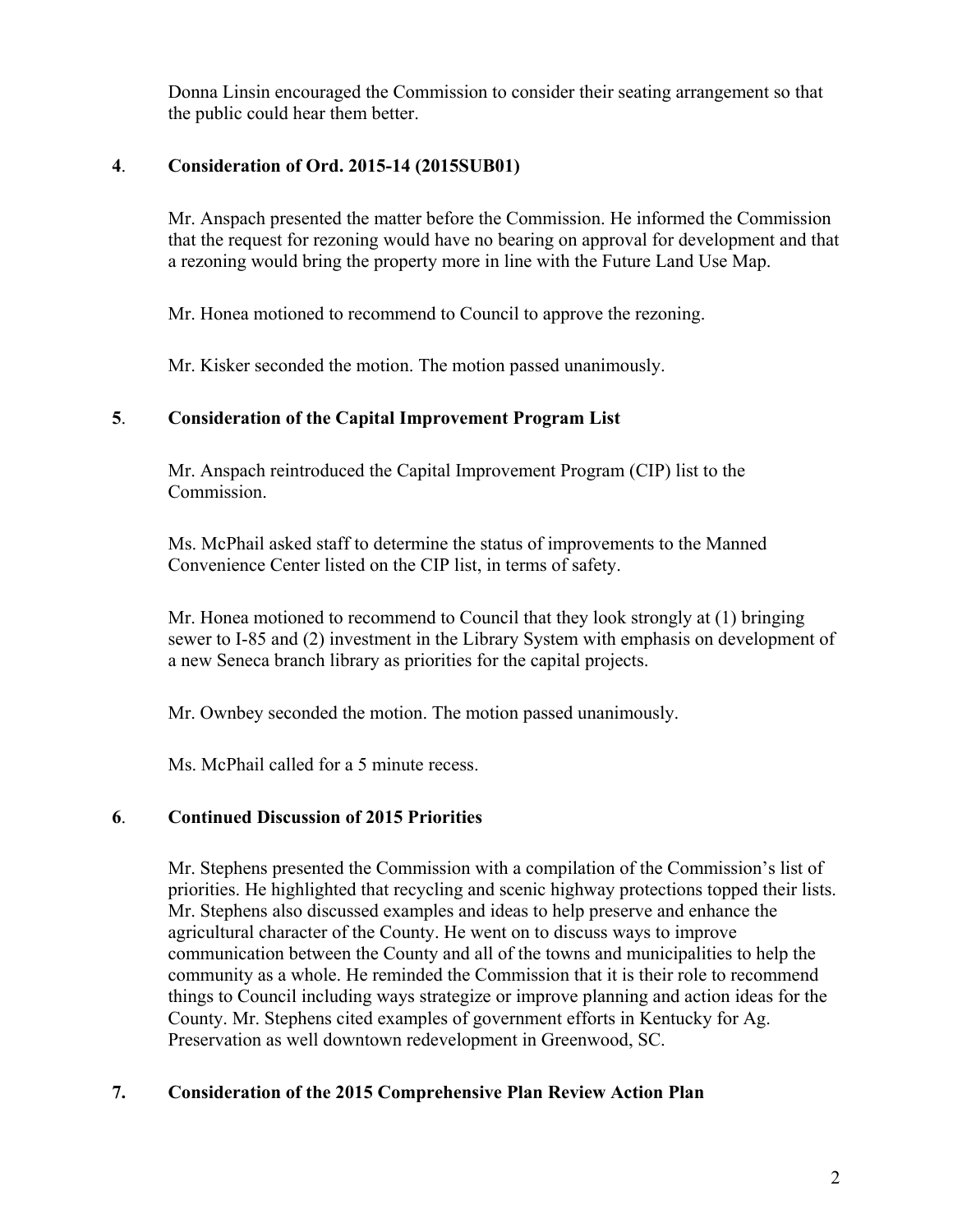Donna Linsin encouraged the Commission to consider their seating arrangement so that the public could hear them better.

## **4**. **Consideration of Ord. 2015-14 (2015SUB01)**

Mr. Anspach presented the matter before the Commission. He informed the Commission that the request for rezoning would have no bearing on approval for development and that a rezoning would bring the property more in line with the Future Land Use Map.

Mr. Honea motioned to recommend to Council to approve the rezoning.

Mr. Kisker seconded the motion. The motion passed unanimously.

### **5**. **Consideration of the Capital Improvement Program List**

Mr. Anspach reintroduced the Capital Improvement Program (CIP) list to the Commission.

Ms. McPhail asked staff to determine the status of improvements to the Manned Convenience Center listed on the CIP list, in terms of safety.

Mr. Honea motioned to recommend to Council that they look strongly at (1) bringing sewer to I-85 and (2) investment in the Library System with emphasis on development of a new Seneca branch library as priorities for the capital projects.

Mr. Ownbey seconded the motion. The motion passed unanimously.

Ms. McPhail called for a 5 minute recess.

### **6**. **Continued Discussion of 2015 Priorities**

Mr. Stephens presented the Commission with a compilation of the Commission's list of priorities. He highlighted that recycling and scenic highway protections topped their lists. Mr. Stephens also discussed examples and ideas to help preserve and enhance the agricultural character of the County. He went on to discuss ways to improve communication between the County and all of the towns and municipalities to help the community as a whole. He reminded the Commission that it is their role to recommend things to Council including ways strategize or improve planning and action ideas for the County. Mr. Stephens cited examples of government efforts in Kentucky for Ag. Preservation as well downtown redevelopment in Greenwood, SC.

# **7. Consideration of the 2015 Comprehensive Plan Review Action Plan**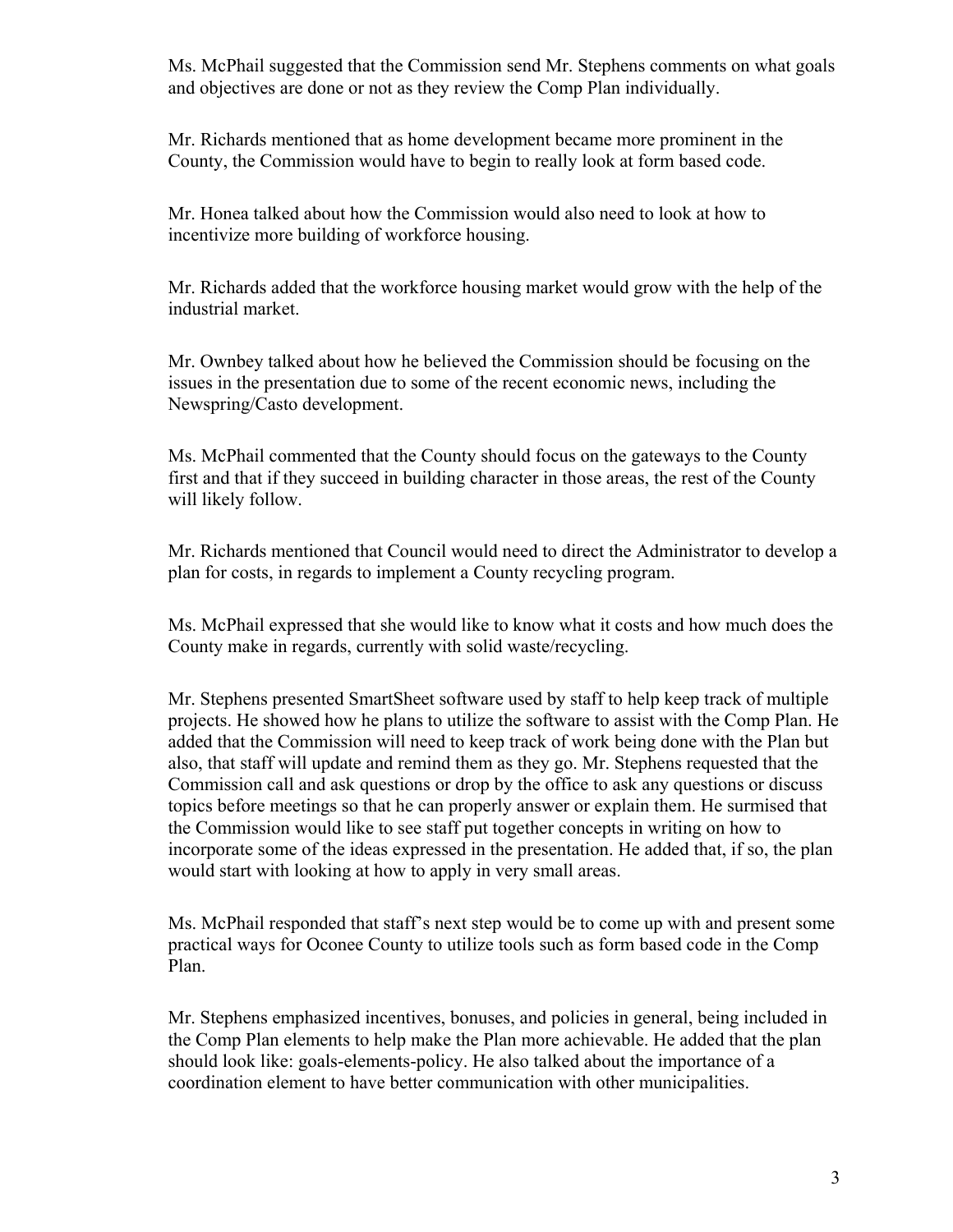Ms. McPhail suggested that the Commission send Mr. Stephens comments on what goals and objectives are done or not as they review the Comp Plan individually.

Mr. Richards mentioned that as home development became more prominent in the County, the Commission would have to begin to really look at form based code.

Mr. Honea talked about how the Commission would also need to look at how to incentivize more building of workforce housing.

Mr. Richards added that the workforce housing market would grow with the help of the industrial market.

Mr. Ownbey talked about how he believed the Commission should be focusing on the issues in the presentation due to some of the recent economic news, including the Newspring/Casto development.

Ms. McPhail commented that the County should focus on the gateways to the County first and that if they succeed in building character in those areas, the rest of the County will likely follow.

Mr. Richards mentioned that Council would need to direct the Administrator to develop a plan for costs, in regards to implement a County recycling program.

Ms. McPhail expressed that she would like to know what it costs and how much does the County make in regards, currently with solid waste/recycling.

Mr. Stephens presented SmartSheet software used by staff to help keep track of multiple projects. He showed how he plans to utilize the software to assist with the Comp Plan. He added that the Commission will need to keep track of work being done with the Plan but also, that staff will update and remind them as they go. Mr. Stephens requested that the Commission call and ask questions or drop by the office to ask any questions or discuss topics before meetings so that he can properly answer or explain them. He surmised that the Commission would like to see staff put together concepts in writing on how to incorporate some of the ideas expressed in the presentation. He added that, if so, the plan would start with looking at how to apply in very small areas.

Ms. McPhail responded that staff's next step would be to come up with and present some practical ways for Oconee County to utilize tools such as form based code in the Comp Plan.

Mr. Stephens emphasized incentives, bonuses, and policies in general, being included in the Comp Plan elements to help make the Plan more achievable. He added that the plan should look like: goals-elements-policy. He also talked about the importance of a coordination element to have better communication with other municipalities.